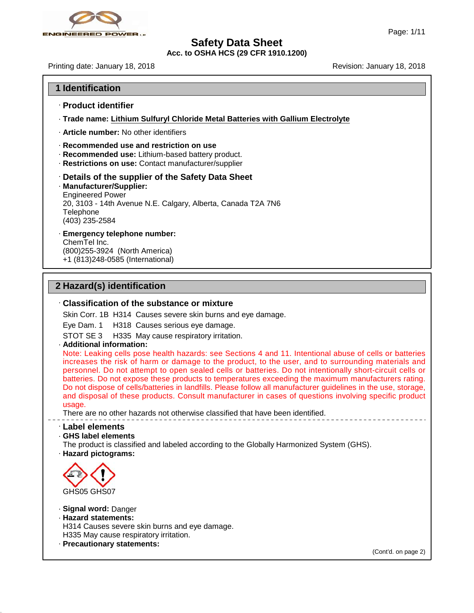

**Acc. to OSHA HCS (29 CFR 1910.1200)**

Printing date: January 18,2018 Revision: January 18,2018

- · **Product identifier**
- · **Trade name: Lithium Sulfuryl Chloride Metal Batteries with Gallium Electrolyte**
- · **Article number:** No other identifiers
- · **Recommended use and restriction on use**
- · **Recommended use:** Lithium-based battery product.
- · **Restrictions on use:** Contact manufacturer/supplier

#### · **Details of the supplier of the Safety Data Sheet**

- · **Manufacturer/Supplier:** Engineered Power 20, 3103 - 14th Avenue N.E. Calgary, Alberta, Canada T2A 7N6 Telephone (403) 235-2584
- · **Emergency telephone number:**

ChemTel Inc. (800)255-3924 (North America) +1 (813)248-0585 (International)

#### **2 Hazard(s) identification**

#### · **Classification of the substance or mixture**

Skin Corr. 1B H314 Causes severe skin burns and eye damage.

Eye Dam. 1 H318 Causes serious eye damage.

STOT SE 3 H335 May cause respiratory irritation.

· **Additional information:**

Note: Leaking cells pose health hazards: see Sections 4 and 11. Intentional abuse of cells or batteries increases the risk of harm or damage to the product, to the user, and to surrounding materials and personnel. Do not attempt to open sealed cells or batteries. Do not intentionally short-circuit cells or batteries. Do not expose these products to temperatures exceeding the maximum manufacturers rating. STOT SE 3 H335 May cause respiratory irritation.<br>
Additional information:<br>
Note: Leaking cells pose health hazards: see Sections 4 and 11. Intentional abuse of cells or batteries<br>
increases the risk of harm or damage to th Additional information:<br>Note: Leaking cells pose health hazards: see Sections 4 and 11. Intentional abuse of cells or batteries<br>increases the risk of harm or damage to the product, to the user, and to surrounding materials Note: Leaking cells pose health hazards: see Sections 4 and 11. Intentional abuse of cells or batteries increases the risk of harm or damage to the product, to the user, and to surrounding materials and personnel. Do not a usage.

There are no other hazards not otherwise classified that have been identified.

· **Label elements**

· **GHS label elements**

The product is classified and labeled according to the Globally Harmonized System (GHS).

· **Hazard pictograms:**



46.0.4

· **Signal word:** Danger

· **Hazard statements:**

H314 Causes severe skin burns and eye damage. H335 May cause respiratory irritation.

· **Precautionary statements:**

(Cont'd. on page 2)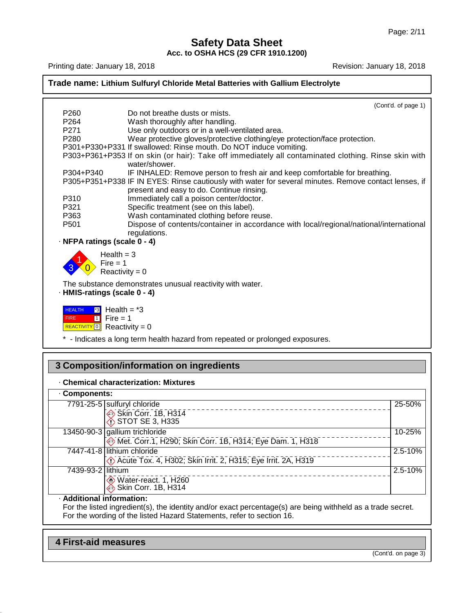**Acc. to OSHA HCS (29 CFR 1910.1200)**



#### · **Chemical characterization: Mixtures**

| 3 Composition/information on ingredients                                                     |             |  |  |  |
|----------------------------------------------------------------------------------------------|-------------|--|--|--|
| . Chemical characterization: Mixtures<br>Components:                                         |             |  |  |  |
|                                                                                              |             |  |  |  |
| 13450-90-3 gallium trichloride<br>Met. Corr.1, H290; Skin Corr. 1B, H314; Eye Dam. 1, H318   | 10-25%      |  |  |  |
| 7447-41-8 lithium chloride<br>D Acute Tox. 4, H302; Skin Irrit. 2, H315; Eye Irrit. 2A, H319 | $2.5 - 10%$ |  |  |  |
| 7439-93-2 lithium<br>Water-react. 1, H260<br>Skin Corr. 1B, H314                             | 2.5-10%     |  |  |  |
| Additional information.                                                                      |             |  |  |  |

· **Additional information:**

46.0.4

For the listed ingredient(s), the identity and/or exact percentage(s) are being withheld as a trade secret. For the wording of the listed Hazard Statements, refer to section 16.

| <b>First-aid measures</b> |                     |
|---------------------------|---------------------|
|                           | (Cont'd. on page 3) |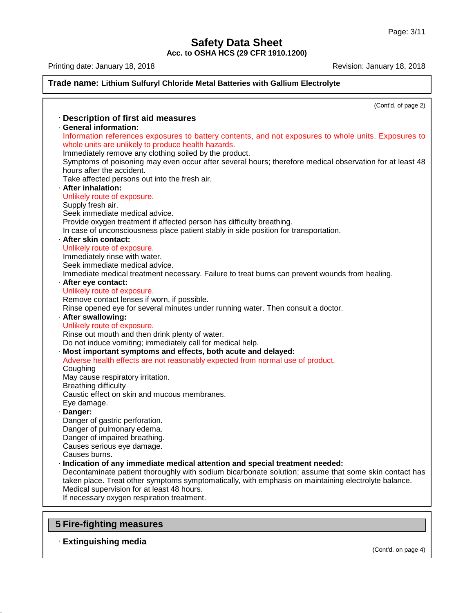**Acc. to OSHA HCS (29 CFR 1910.1200)**

Printing date: January 18, 2018 **Printing date: January 18, 2018** 

|           | (Cont'd. of page 2)                                                                                                                                         |
|-----------|-------------------------------------------------------------------------------------------------------------------------------------------------------------|
|           | · Description of first aid measures                                                                                                                         |
|           | · General information:                                                                                                                                      |
|           | Information references exposures to battery contents, and not exposures to whole units. Exposures to<br>whole units are unlikely to produce health hazards. |
|           | Immediately remove any clothing soiled by the product.                                                                                                      |
|           | Symptoms of poisoning may even occur after several hours; therefore medical observation for at least 48<br>hours after the accident.                        |
|           | Take affected persons out into the fresh air.                                                                                                               |
|           | · After inhalation:                                                                                                                                         |
|           | Unlikely route of exposure.                                                                                                                                 |
|           | Supply fresh air.                                                                                                                                           |
|           | Seek immediate medical advice.                                                                                                                              |
|           | Provide oxygen treatment if affected person has difficulty breathing.                                                                                       |
|           | In case of unconsciousness place patient stably in side position for transportation.                                                                        |
|           | · After skin contact:                                                                                                                                       |
|           | Unlikely route of exposure.                                                                                                                                 |
|           | Immediately rinse with water.<br>Seek immediate medical advice.                                                                                             |
|           | Immediate medical treatment necessary. Failure to treat burns can prevent wounds from healing.                                                              |
|           | · After eye contact:                                                                                                                                        |
|           | Unlikely route of exposure.                                                                                                                                 |
|           | Remove contact lenses if worn, if possible.                                                                                                                 |
|           | Rinse opened eye for several minutes under running water. Then consult a doctor.                                                                            |
|           | · After swallowing:                                                                                                                                         |
|           | Unlikely route of exposure.                                                                                                                                 |
|           | Rinse out mouth and then drink plenty of water.                                                                                                             |
|           | Do not induce vomiting; immediately call for medical help.                                                                                                  |
|           | · Most important symptoms and effects, both acute and delayed:                                                                                              |
|           | Adverse health effects are not reasonably expected from normal use of product.                                                                              |
| Coughing  |                                                                                                                                                             |
|           | May cause respiratory irritation.                                                                                                                           |
|           | <b>Breathing difficulty</b>                                                                                                                                 |
|           | Caustic effect on skin and mucous membranes.                                                                                                                |
|           | Eye damage.                                                                                                                                                 |
| · Danger: |                                                                                                                                                             |
|           | Danger of gastric perforation.                                                                                                                              |
|           | Danger of pulmonary edema.                                                                                                                                  |
|           | Danger of impaired breathing.                                                                                                                               |
|           | Causes serious eye damage.                                                                                                                                  |
|           | Causes burns.                                                                                                                                               |
|           | · Indication of any immediate medical attention and special treatment needed:                                                                               |
|           | Decontaminate patient thoroughly with sodium bicarbonate solution; assume that some skin contact has                                                        |
|           | taken place. Treat other symptoms symptomatically, with emphasis on maintaining electrolyte balance.                                                        |
|           | Medical supervision for at least 48 hours.<br>If necessary oxygen respiration treatment.                                                                    |

## **5 Fire-fighting measures**

## · **Extinguishing media**

46.0.4

(Cont'd. on page 4)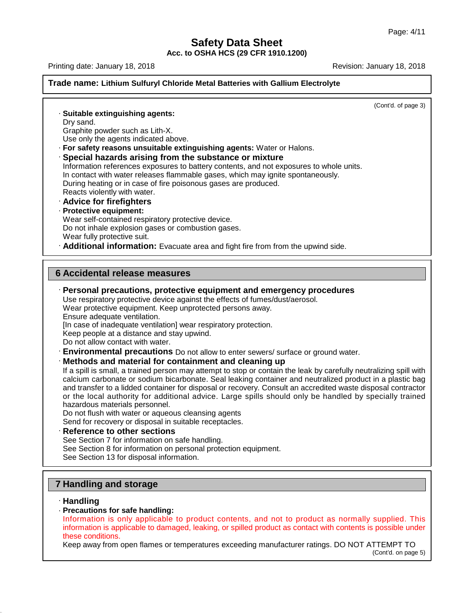**Acc. to OSHA HCS (29 CFR 1910.1200)**

Printing date: January 18,2018 Revision: January 18,2018

#### **Trade name: Lithium Sulfuryl Chloride Metal Batteries with Gallium Electrolyte**

(Cont'd. of page 3)

· **Suitable extinguishing agents:** Dry sand. Graphite powder such as Lith-X. Use only the agents indicated above. · **For safety reasons unsuitable extinguishing agents:** Water or Halons. · **Special hazards arising from the substance or mixture** Information references exposures to battery contents, and not exposures to whole units. In contact with water releases flammable gases, which may ignite spontaneously. During heating or in case of fire poisonous gases are produced. Reacts violently with water. · **Advice for firefighters** · **Protective equipment:** Wear self-contained respiratory protective device. Do not inhale explosion gases or combustion gases. Wear fully protective suit. · **Additional information:** Evacuate area and fight fire from from the upwind side.

#### **6 Accidental release measures**

· **Personal precautions, protective equipment and emergency procedures** Use respiratory protective device against the effects of fumes/dust/aerosol. Wear protective equipment. Keep unprotected persons away. Ensure adequate ventilation. [In case of inadequate ventilation] wear respiratory protection. Keep people at a distance and stay upwind. Do not allow contact with water. · **Environmental precautions** Do not allow to enter sewers/ surface or ground water. · **Methods and material for containment and cleaning up** If a spill is small, a trained person may attempt to stop or contain the leak by carefully neutralizing spill with calcium carbonate or sodium bicarbonate. Seal leaking container and neutralized product in a plastic bag and transfer to a lidded container for disposal or recovery. Consult an accredited waste disposal contractor or the local authority for additional advice. Large spills should only be handled by specially trained hazardous materials personnel. Do not flush with water or aqueous cleansing agents Send for recovery or disposal in suitable receptacles. · **Reference to other sections** See Section 7 for information on safe handling. See Section 8 for information on personal protection equipment. See Section 13 for disposal information.

## **7 Handling and storage**

#### · **Handling**

46.0.4

· **Precautions for safe handling:** Handling and storage<br>
Handling<br>
Precautions for safe handling:<br>
Information is only applicable to product contents, and not to product as normally supplied. This<br>
information is applicable to damaged, leaking, or spilled p **Handling and storage**<br> **Handling**<br>
Precautions for safe handling:<br>
Information is only applicable to product contents, and not to product as normally supplied. This<br>
information is applicable to damaged, leaking, or spill **Handling<br>Precautions for<br>Information is ap<br>these conditions.<br>Keep away from** 

Keep away from open flames or temperatures exceeding manufacturer ratings. DO NOT ATTEMPT TO

(Cont'd. on page 5)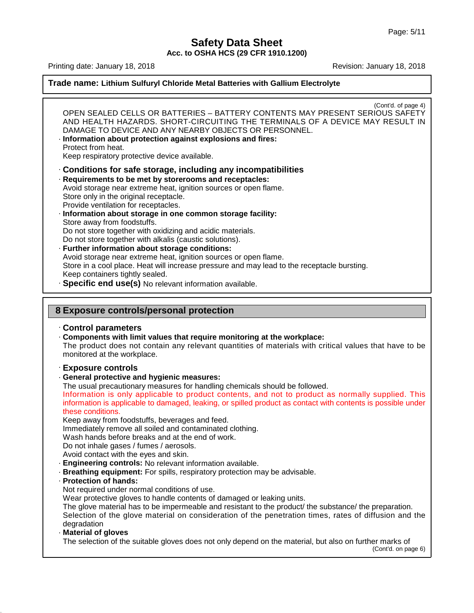**Acc. to OSHA HCS (29 CFR 1910.1200)**

Printing date: January 18,2018 Revision: January 18,2018

46.0.4

#### **Trade name: Lithium Sulfuryl Chloride Metal Batteries with Gallium Electrolyte**

(Cont'd. of page 4) OPEN SEALED CELLS OR BATTERIES – BATTERY CONTENTS MAY PRESENT SERIOUS SAFETY AND HEALTH HAZARDS. SHORT-CIRCUITING THE TERMINALS OF A DEVICE MAY RESULT IN DAMAGE TO DEVICE AND ANY NEARBY OBJECTS OR PERSONNEL. · **Information about protection against explosions and fires:** Protect from heat. Keep respiratory protective device available. · **Conditions for safe storage, including any incompatibilities** · **Requirements to be met by storerooms and receptacles:** Avoid storage near extreme heat, ignition sources or open flame. Store only in the original receptacle. Provide ventilation for receptacles. · **Information about storage in one common storage facility:** Store away from foodstuffs. Do not store together with oxidizing and acidic materials. Do not store together with alkalis (caustic solutions). · **Further information about storage conditions:** Avoid storage near extreme heat, ignition sources or open flame. Store in a cool place. Heat will increase pressure and may lead to the receptacle bursting. Keep containers tightly sealed. · **Specific end use(s)** No relevant information available. **8 Exposure controls/personal protection** · **Control parameters** · **Components with limit values that require monitoring at the workplace:** The product does not contain any relevant quantities of materials with critical values that have to be monitored at the workplace. · **Exposure controls** · **General protective and hygienic measures:** The usual precautionary measures for handling chemicals should be followed. Keep away from foodstuffs, beverages and feed. Immediately remove all soiled and contaminated clothing. Wash hands before breaks and at the end of work. Do not inhale gases / fumes / aerosols. Avoid contact with the eyes and skin. · **Engineering controls:** No relevant information available. · **Breathing equipment:** For spills, respiratory protection may be advisable. · **Protection of hands:** Not required under normal conditions of use. Wear protective gloves to handle contents of damaged or leaking units. The glove material has to be impermeable and resistant to the product/ the substance/ the preparation. Selection of the glove material on consideration of the penetration times, rates of diffusion and the degradation · **Material of gloves** The selection of the suitable gloves does not only depend on the material, but also on further marks of (Cont'd. on page 6) monitored at the workplace.<br> **Exposure controls**<br> **General protective and hygienic measures:**<br>
The usual precautionary measures for handling chemicals should be followed.<br>
Information is only applicable to product contents Exposure controls<br>General protective and hygienic measures:<br>The usual precautionary measures for handling chemicals should be followed.<br>Information is only applicable to product contents, and not to product as normally sup Exposure cont<br>General protect<br>The usual precau<br>Information is ap<br>these conditions.<br>Keep away from<br>Immediately remo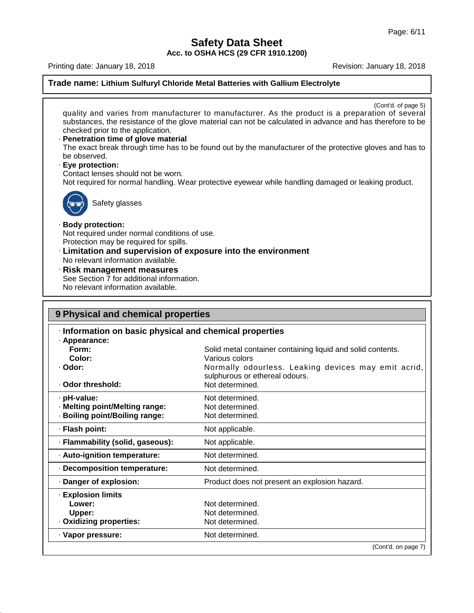**Acc. to OSHA HCS (29 CFR 1910.1200)**

Printing date: January 18, 2018 <br>
Revision: January 18, 2018

46.0.4

## **Trade name: Lithium Sulfuryl Chloride Metal Batteries with Gallium Electrolyte**

| Safety glasses<br>· Body protection:<br>Not required under normal conditions of use.<br>Protection may be required for spills.<br>· Limitation and supervision of exposure into the environment<br>No relevant information available.<br>· Risk management measures<br>See Section 7 for additional information.<br>No relevant information available.<br>9 Physical and chemical properties<br>Information on basic physical and chemical properties<br>· Appearance:<br>Form:<br>Solid metal container containing liquid and solid contents.<br>Color:<br>Various colors<br>· Odor:<br>Normally odourless. Leaking devices may emit acrid,<br>sulphurous or ethereal odours.<br>Not determined.<br>· Odor threshold:<br>· pH-value:<br>Not determined.<br>· Melting point/Melting range:<br>Not determined.<br>· Boiling point/Boiling range:<br>Not determined.<br>· Flash point:<br>Not applicable.<br>· Flammability (solid, gaseous):<br>Not applicable.<br>· Auto-ignition temperature:<br>Not determined.<br>· Decomposition temperature:<br>Not determined.<br>· Danger of explosion:<br>Product does not present an explosion hazard.<br>· Explosion limits<br>Lower:<br>Not determined.<br>Not determined.<br>Upper:<br>· Oxidizing properties:<br>Not determined.<br>· Vapor pressure:<br>Not determined. | checked prior to the application.<br>· Penetration time of glove material<br>be observed.<br>· Eye protection:<br>Contact lenses should not be worn. | quality and varies from manufacturer to manufacturer. As the product is a preparation of several<br>substances, the resistance of the glove material can not be calculated in advance and has therefore to be<br>The exact break through time has to be found out by the manufacturer of the protective gloves and has to<br>Not required for normal handling. Wear protective eyewear while handling damaged or leaking product. |  |  |  |  |
|-----------------------------------------------------------------------------------------------------------------------------------------------------------------------------------------------------------------------------------------------------------------------------------------------------------------------------------------------------------------------------------------------------------------------------------------------------------------------------------------------------------------------------------------------------------------------------------------------------------------------------------------------------------------------------------------------------------------------------------------------------------------------------------------------------------------------------------------------------------------------------------------------------------------------------------------------------------------------------------------------------------------------------------------------------------------------------------------------------------------------------------------------------------------------------------------------------------------------------------------------------------------------------------------------------------------------|------------------------------------------------------------------------------------------------------------------------------------------------------|-----------------------------------------------------------------------------------------------------------------------------------------------------------------------------------------------------------------------------------------------------------------------------------------------------------------------------------------------------------------------------------------------------------------------------------|--|--|--|--|
|                                                                                                                                                                                                                                                                                                                                                                                                                                                                                                                                                                                                                                                                                                                                                                                                                                                                                                                                                                                                                                                                                                                                                                                                                                                                                                                       |                                                                                                                                                      |                                                                                                                                                                                                                                                                                                                                                                                                                                   |  |  |  |  |
|                                                                                                                                                                                                                                                                                                                                                                                                                                                                                                                                                                                                                                                                                                                                                                                                                                                                                                                                                                                                                                                                                                                                                                                                                                                                                                                       |                                                                                                                                                      |                                                                                                                                                                                                                                                                                                                                                                                                                                   |  |  |  |  |
|                                                                                                                                                                                                                                                                                                                                                                                                                                                                                                                                                                                                                                                                                                                                                                                                                                                                                                                                                                                                                                                                                                                                                                                                                                                                                                                       |                                                                                                                                                      |                                                                                                                                                                                                                                                                                                                                                                                                                                   |  |  |  |  |
|                                                                                                                                                                                                                                                                                                                                                                                                                                                                                                                                                                                                                                                                                                                                                                                                                                                                                                                                                                                                                                                                                                                                                                                                                                                                                                                       |                                                                                                                                                      |                                                                                                                                                                                                                                                                                                                                                                                                                                   |  |  |  |  |
|                                                                                                                                                                                                                                                                                                                                                                                                                                                                                                                                                                                                                                                                                                                                                                                                                                                                                                                                                                                                                                                                                                                                                                                                                                                                                                                       |                                                                                                                                                      |                                                                                                                                                                                                                                                                                                                                                                                                                                   |  |  |  |  |
|                                                                                                                                                                                                                                                                                                                                                                                                                                                                                                                                                                                                                                                                                                                                                                                                                                                                                                                                                                                                                                                                                                                                                                                                                                                                                                                       |                                                                                                                                                      |                                                                                                                                                                                                                                                                                                                                                                                                                                   |  |  |  |  |
|                                                                                                                                                                                                                                                                                                                                                                                                                                                                                                                                                                                                                                                                                                                                                                                                                                                                                                                                                                                                                                                                                                                                                                                                                                                                                                                       |                                                                                                                                                      |                                                                                                                                                                                                                                                                                                                                                                                                                                   |  |  |  |  |
|                                                                                                                                                                                                                                                                                                                                                                                                                                                                                                                                                                                                                                                                                                                                                                                                                                                                                                                                                                                                                                                                                                                                                                                                                                                                                                                       |                                                                                                                                                      |                                                                                                                                                                                                                                                                                                                                                                                                                                   |  |  |  |  |
|                                                                                                                                                                                                                                                                                                                                                                                                                                                                                                                                                                                                                                                                                                                                                                                                                                                                                                                                                                                                                                                                                                                                                                                                                                                                                                                       |                                                                                                                                                      |                                                                                                                                                                                                                                                                                                                                                                                                                                   |  |  |  |  |
|                                                                                                                                                                                                                                                                                                                                                                                                                                                                                                                                                                                                                                                                                                                                                                                                                                                                                                                                                                                                                                                                                                                                                                                                                                                                                                                       |                                                                                                                                                      |                                                                                                                                                                                                                                                                                                                                                                                                                                   |  |  |  |  |
|                                                                                                                                                                                                                                                                                                                                                                                                                                                                                                                                                                                                                                                                                                                                                                                                                                                                                                                                                                                                                                                                                                                                                                                                                                                                                                                       |                                                                                                                                                      |                                                                                                                                                                                                                                                                                                                                                                                                                                   |  |  |  |  |
|                                                                                                                                                                                                                                                                                                                                                                                                                                                                                                                                                                                                                                                                                                                                                                                                                                                                                                                                                                                                                                                                                                                                                                                                                                                                                                                       |                                                                                                                                                      |                                                                                                                                                                                                                                                                                                                                                                                                                                   |  |  |  |  |
|                                                                                                                                                                                                                                                                                                                                                                                                                                                                                                                                                                                                                                                                                                                                                                                                                                                                                                                                                                                                                                                                                                                                                                                                                                                                                                                       |                                                                                                                                                      |                                                                                                                                                                                                                                                                                                                                                                                                                                   |  |  |  |  |
|                                                                                                                                                                                                                                                                                                                                                                                                                                                                                                                                                                                                                                                                                                                                                                                                                                                                                                                                                                                                                                                                                                                                                                                                                                                                                                                       |                                                                                                                                                      |                                                                                                                                                                                                                                                                                                                                                                                                                                   |  |  |  |  |
|                                                                                                                                                                                                                                                                                                                                                                                                                                                                                                                                                                                                                                                                                                                                                                                                                                                                                                                                                                                                                                                                                                                                                                                                                                                                                                                       |                                                                                                                                                      |                                                                                                                                                                                                                                                                                                                                                                                                                                   |  |  |  |  |
|                                                                                                                                                                                                                                                                                                                                                                                                                                                                                                                                                                                                                                                                                                                                                                                                                                                                                                                                                                                                                                                                                                                                                                                                                                                                                                                       |                                                                                                                                                      |                                                                                                                                                                                                                                                                                                                                                                                                                                   |  |  |  |  |
|                                                                                                                                                                                                                                                                                                                                                                                                                                                                                                                                                                                                                                                                                                                                                                                                                                                                                                                                                                                                                                                                                                                                                                                                                                                                                                                       |                                                                                                                                                      |                                                                                                                                                                                                                                                                                                                                                                                                                                   |  |  |  |  |
|                                                                                                                                                                                                                                                                                                                                                                                                                                                                                                                                                                                                                                                                                                                                                                                                                                                                                                                                                                                                                                                                                                                                                                                                                                                                                                                       |                                                                                                                                                      |                                                                                                                                                                                                                                                                                                                                                                                                                                   |  |  |  |  |
|                                                                                                                                                                                                                                                                                                                                                                                                                                                                                                                                                                                                                                                                                                                                                                                                                                                                                                                                                                                                                                                                                                                                                                                                                                                                                                                       |                                                                                                                                                      |                                                                                                                                                                                                                                                                                                                                                                                                                                   |  |  |  |  |
|                                                                                                                                                                                                                                                                                                                                                                                                                                                                                                                                                                                                                                                                                                                                                                                                                                                                                                                                                                                                                                                                                                                                                                                                                                                                                                                       |                                                                                                                                                      |                                                                                                                                                                                                                                                                                                                                                                                                                                   |  |  |  |  |
|                                                                                                                                                                                                                                                                                                                                                                                                                                                                                                                                                                                                                                                                                                                                                                                                                                                                                                                                                                                                                                                                                                                                                                                                                                                                                                                       |                                                                                                                                                      |                                                                                                                                                                                                                                                                                                                                                                                                                                   |  |  |  |  |
|                                                                                                                                                                                                                                                                                                                                                                                                                                                                                                                                                                                                                                                                                                                                                                                                                                                                                                                                                                                                                                                                                                                                                                                                                                                                                                                       |                                                                                                                                                      |                                                                                                                                                                                                                                                                                                                                                                                                                                   |  |  |  |  |
|                                                                                                                                                                                                                                                                                                                                                                                                                                                                                                                                                                                                                                                                                                                                                                                                                                                                                                                                                                                                                                                                                                                                                                                                                                                                                                                       |                                                                                                                                                      | (Cont'd. on page 7)                                                                                                                                                                                                                                                                                                                                                                                                               |  |  |  |  |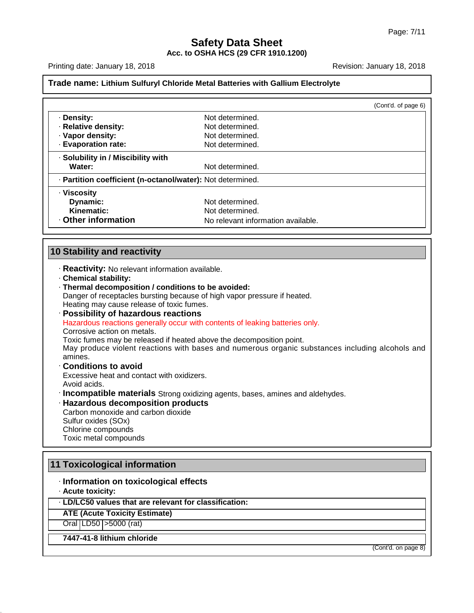#### **Safety Data Sheet Acc. to OSHA HCS (29 CFR 1910.1200)**

Printing date: January 18,2018 Revision: January 18,2018

#### **Trade name: Lithium Sulfuryl Chloride Metal Batteries with Gallium Electrolyte**

|                                                            | (Cont'd. of page 6)                                                                             |
|------------------------------------------------------------|-------------------------------------------------------------------------------------------------|
| · Density:                                                 | Not determined.                                                                                 |
| · Relative density:                                        | Not determined.                                                                                 |
| · Vapor density:                                           | Not determined.                                                                                 |
| · Evaporation rate:                                        | Not determined.                                                                                 |
| · Solubility in / Miscibility with                         |                                                                                                 |
| Water:                                                     | Not determined.                                                                                 |
| · Partition coefficient (n-octanol/water): Not determined. |                                                                                                 |
| · Viscosity                                                |                                                                                                 |
| Dynamic:                                                   | Not determined.                                                                                 |
| Kinematic:                                                 | Not determined.                                                                                 |
| Other information                                          | No relevant information available.                                                              |
| <b>10 Stability and reactivity</b>                         |                                                                                                 |
| · Reactivity: No relevant information available.           |                                                                                                 |
| · Chemical stability:                                      |                                                                                                 |
| · Thermal decomposition / conditions to be avoided:        |                                                                                                 |
|                                                            | Danger of receptacles bursting because of high vapor pressure if heated.                        |
| Heating may cause release of toxic fumes.                  |                                                                                                 |
| · Possibility of hazardous reactions                       |                                                                                                 |
|                                                            | Hazardous reactions generally occur with contents of leaking batteries only.                    |
| Corrosive action on metals.                                |                                                                                                 |
|                                                            | Toxic fumes may be released if heated above the decomposition point.                            |
| amines.                                                    | May produce violent reactions with bases and numerous organic substances including alcohols and |
| <b>Conditions to avoid</b>                                 |                                                                                                 |

Excessive heat and contact with oxidizers. Avoid acids.

· **Incompatible materials** Strong oxidizing agents, bases, amines and aldehydes.

#### · **Hazardous decomposition products**

Carbon monoxide and carbon dioxide Sulfur oxides (SOx) Chlorine compounds Toxic metal compounds

## **11 Toxicological information**

### · **Information on toxicological effects**

· **Acute toxicity:**

46.0.4

· **LD/LC50 values that are relevant for classification:**

**ATE (Acute Toxicity Estimate)**

Oral LD50 >5000 (rat)

**7447-41-8 lithium chloride**

(Cont'd. on page 8)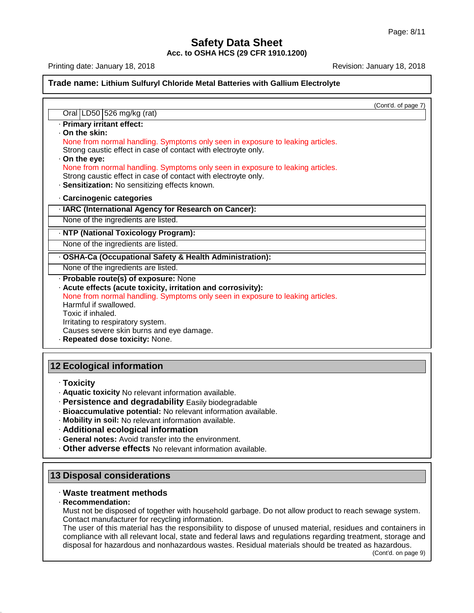#### **Safety Data Sheet Acc. to OSHA HCS (29 CFR 1910.1200)**

Printing date: January 18,2018 Revision: January 18,2018

**Trade name: Lithium Sulfuryl Chloride Metal Batteries with Gallium Electrolyte** (Cont'd. of page 7) Oral LD50 526 mg/kg (rat) · **Primary irritant effect:** · **On the skin:** Strong caustic effect in case of contact with electroyte only. · **On the eye:** Strong caustic effect in case of contact with electroyte only. · **Sensitization:** No sensitizing effects known. · **Carcinogenic categories** · **IARC (International Agency for Research on Cancer):** None of the ingredients are listed. · **NTP (National Toxicology Program):** None of the ingredients are listed. · **OSHA-Ca (Occupational Safety & Health Administration):** None of the ingredients are listed. · **Probable route(s) of exposure:** None · **Acute effects (acute toxicity, irritation and corrosivity):** Harmful if swallowed. Toxic if inhaled. Irritating to respiratory system. Causes severe skin burns and eye damage. · **Repeated dose toxicity:** None. **12 Ecological information** Oral LD50 526 mg/kg (rat)<br>Primary irritant effect:<br>On the skin:<br>None from normal handling. Symptoms only seen in exposure to leaking articles.<br>Strong caustic effect in case of contact with electroyte only. Primary irritant effect:<br>
On the skin:<br>
None from normal handling. Symptoms only seen in exposure to leaking articles.<br>
Strong caustic effect in case of contact with electroyte only.<br>
On the eye:<br>
None from normal handling None from normal handling. Symptoms only seen in exposure to leaking articles.

· **Toxicity**

- · **Aquatic toxicity** No relevant information available.
- · **Persistence and degradability** Easily biodegradable
- · **Bioaccumulative potential:** No relevant information available.
- · **Mobility in soil:** No relevant information available.
- · **Additional ecological information**
- · **General notes:** Avoid transfer into the environment.
- · **Other adverse effects** No relevant information available.

#### **13 Disposal considerations**

#### · **Waste treatment methods**

#### · **Recommendation:**

46.0.4

Must not be disposed of together with household garbage. Do not allow product to reach sewage system. Contact manufacturer for recycling information.

The user of this material has the responsibility to dispose of unused material, residues and containers in compliance with all relevant local, state and federal laws and regulations regarding treatment, storage and disposal for hazardous and nonhazardous wastes. Residual materials should be treated as hazardous.

(Cont'd. on page 9)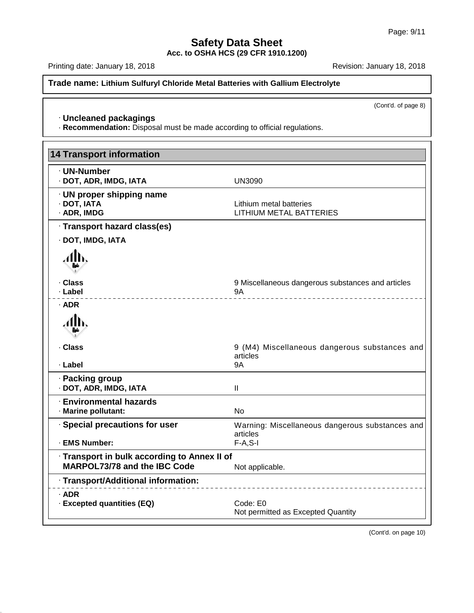**Acc. to OSHA HCS (29 CFR 1910.1200)**

Printing date: January 18, 2018 **Printing date: January 18, 2018** 

**Trade name: Lithium Sulfuryl Chloride Metal Batteries with Gallium Electrolyte**

(Cont'd. of page 8)

#### · **Uncleaned packagings**

46.0.4

· **Recommendation:** Disposal must be made according to official regulations.

| <b>14 Transport information</b>                                                     |                                                                             |
|-------------------------------------------------------------------------------------|-----------------------------------------------------------------------------|
| · UN-Number<br>· DOT, ADR, IMDG, IATA                                               | <b>UN3090</b>                                                               |
| · UN proper shipping name<br>· DOT, IATA<br>· ADR, IMDG                             | Lithium metal batteries<br><b>LITHIUM METAL BATTERIES</b>                   |
| · Transport hazard class(es)                                                        |                                                                             |
| · DOT, IMDG, IATA                                                                   |                                                                             |
|                                                                                     |                                                                             |
| · Class<br>· Label                                                                  | 9 Miscellaneous dangerous substances and articles<br>9A<br>---------------- |
| $·$ ADR                                                                             |                                                                             |
|                                                                                     |                                                                             |
| · Class<br>· Label                                                                  | 9 (M4) Miscellaneous dangerous substances and<br>articles<br><b>9A</b>      |
| · Packing group<br>· DOT, ADR, IMDG, IATA                                           | $\mathbf{I}$                                                                |
| <b>Environmental hazards</b><br>· Marine pollutant:                                 | <b>No</b>                                                                   |
| · Special precautions for user                                                      | Warning: Miscellaneous dangerous substances and<br>articles                 |
| · EMS Number:                                                                       | $F-A, S-I$                                                                  |
| · Transport in bulk according to Annex II of<br><b>MARPOL73/78 and the IBC Code</b> | Not applicable.                                                             |
| · Transport/Additional information:                                                 |                                                                             |
| · ADR<br>· Excepted quantities (EQ)                                                 | Code: E0<br>Not permitted as Excepted Quantity                              |

(Cont'd. on page 10)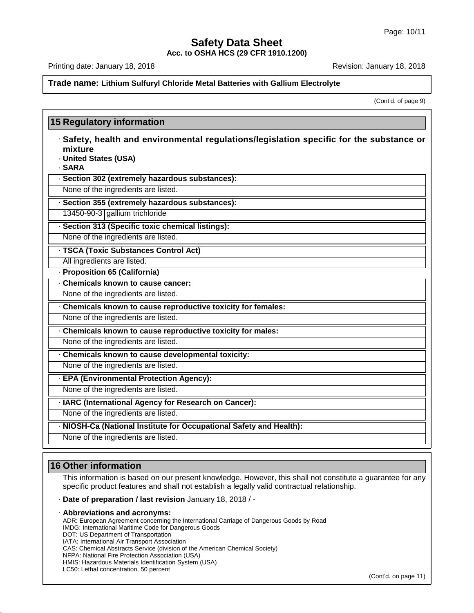**Acc. to OSHA HCS (29 CFR 1910.1200)**

Printing date: January 18,2018 Revision: January 18,2018

**Trade name: Lithium Sulfuryl Chloride Metal Batteries with Gallium Electrolyte**

(Cont'd. of page 9)

## **15 Regulatory information** · **Safety, health and environmental regulations/legislation specific for the substance or mixture** · **United States (USA)** · **SARA** · **Section 302 (extremely hazardous substances):** None of the ingredients are listed. · **Section 355 (extremely hazardous substances):** 13450-90-3 gallium trichloride · **Section 313 (Specific toxic chemical listings):** None of the ingredients are listed. · **TSCA (Toxic Substances Control Act)** All ingredients are listed. · **Proposition 65 (California)** · **Chemicals known to cause cancer:** None of the ingredients are listed. · **Chemicals known to cause reproductive toxicity for females:** None of the ingredients are listed. · **Chemicals known to cause reproductive toxicity for males:** None of the ingredients are listed. · **Chemicals known to cause developmental toxicity:** None of the ingredients are listed. · **EPA (Environmental Protection Agency):** None of the ingredients are listed. · **IARC (International Agency for Research on Cancer):** None of the ingredients are listed. · **NIOSH-Ca (National Institute for Occupational Safety and Health):** None of the ingredients are listed.

## **16 Other information**

46.0.4

This information is based on our present knowledge. However, this shall not constitute a guarantee for any specific product features and shall not establish a legally valid contractual relationship.

· **Date of preparation / last revision** January 18,2018 / -

· **Abbreviations and acronyms:** ADR: European Agreement concerning the International Carriage of Dangerous Goods by Road IMDG: International Maritime Code for Dangerous Goods DOT: US Department of Transportation IATA: International Air Transport Association CAS: Chemical Abstracts Service (division of the American Chemical Society) NFPA: National Fire Protection Association (USA) HMIS: Hazardous Materials Identification System (USA) LC50: Lethal concentration, 50 percent

(Cont'd. on page 11)